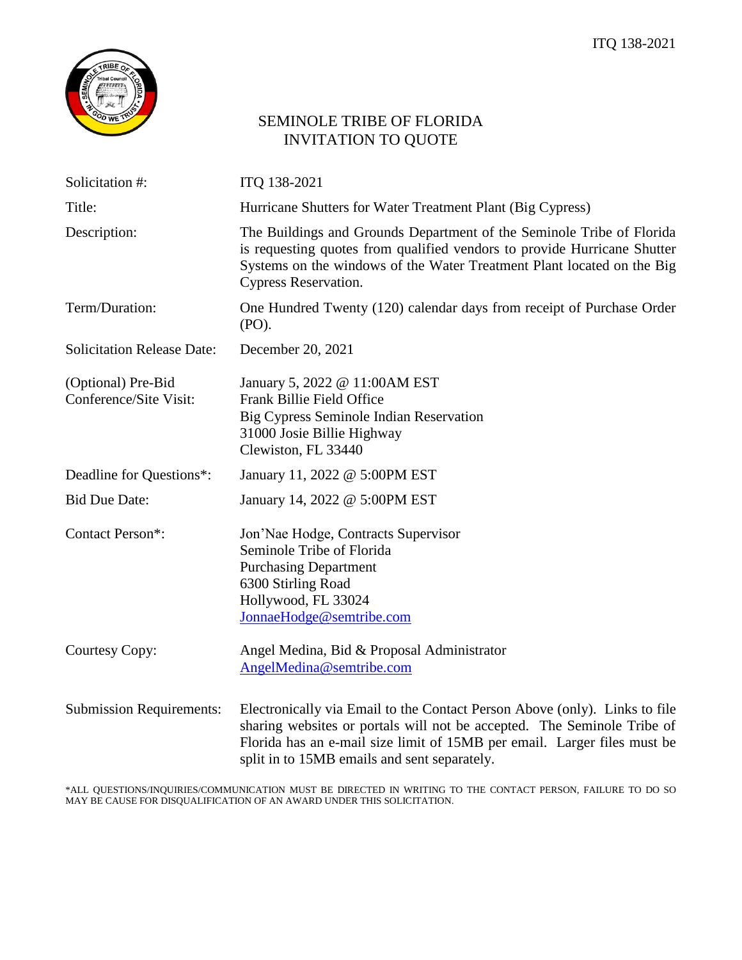

# SEMINOLE TRIBE OF FLORIDA INVITATION TO QUOTE

| Solicitation #:                              | ITQ 138-2021                                                                                                                                                                                                                                                                      |
|----------------------------------------------|-----------------------------------------------------------------------------------------------------------------------------------------------------------------------------------------------------------------------------------------------------------------------------------|
| Title:                                       | Hurricane Shutters for Water Treatment Plant (Big Cypress)                                                                                                                                                                                                                        |
| Description:                                 | The Buildings and Grounds Department of the Seminole Tribe of Florida<br>is requesting quotes from qualified vendors to provide Hurricane Shutter<br>Systems on the windows of the Water Treatment Plant located on the Big<br>Cypress Reservation.                               |
| Term/Duration:                               | One Hundred Twenty (120) calendar days from receipt of Purchase Order<br>(PO).                                                                                                                                                                                                    |
| <b>Solicitation Release Date:</b>            | December 20, 2021                                                                                                                                                                                                                                                                 |
| (Optional) Pre-Bid<br>Conference/Site Visit: | January 5, 2022 @ 11:00AM EST<br>Frank Billie Field Office<br>Big Cypress Seminole Indian Reservation<br>31000 Josie Billie Highway<br>Clewiston, FL 33440                                                                                                                        |
| Deadline for Questions*:                     | January 11, 2022 @ 5:00PM EST                                                                                                                                                                                                                                                     |
| <b>Bid Due Date:</b>                         | January 14, 2022 @ 5:00PM EST                                                                                                                                                                                                                                                     |
| Contact Person*:                             | Jon'Nae Hodge, Contracts Supervisor<br>Seminole Tribe of Florida<br><b>Purchasing Department</b><br>6300 Stirling Road<br>Hollywood, FL 33024<br>JonnaeHodge@semtribe.com                                                                                                         |
| Courtesy Copy:                               | Angel Medina, Bid & Proposal Administrator<br>AngelMedina@semtribe.com                                                                                                                                                                                                            |
| <b>Submission Requirements:</b>              | Electronically via Email to the Contact Person Above (only). Links to file<br>sharing websites or portals will not be accepted. The Seminole Tribe of<br>Florida has an e-mail size limit of 15MB per email. Larger files must be<br>split in to 15MB emails and sent separately. |

\*ALL QUESTIONS/INQUIRIES/COMMUNICATION MUST BE DIRECTED IN WRITING TO THE CONTACT PERSON, FAILURE TO DO SO MAY BE CAUSE FOR DISQUALIFICATION OF AN AWARD UNDER THIS SOLICITATION.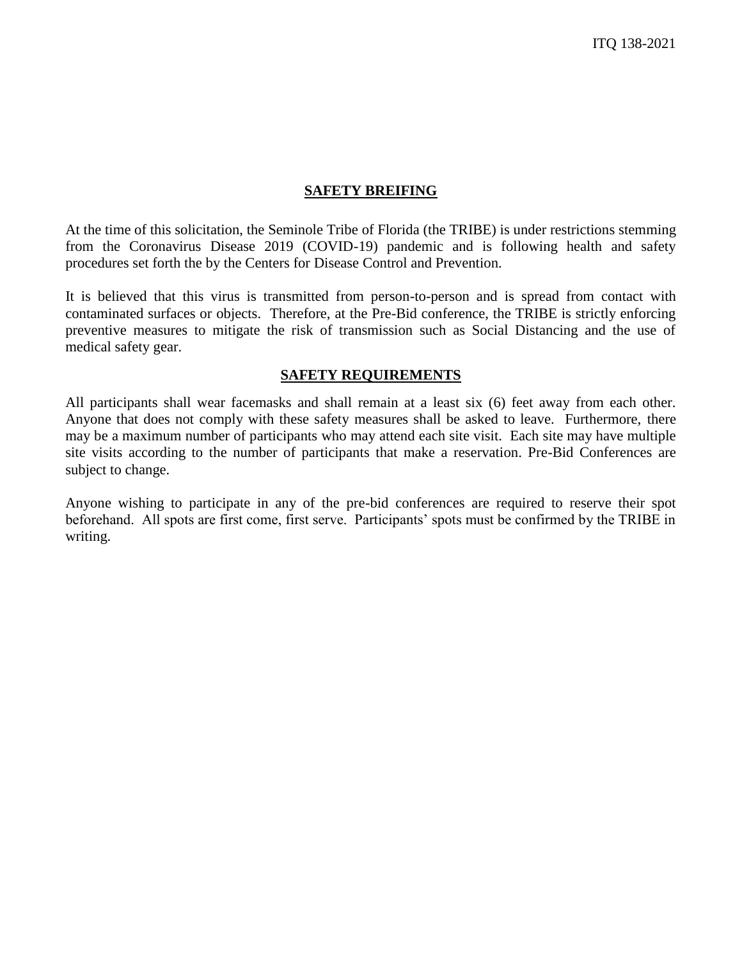#### **SAFETY BREIFING**

At the time of this solicitation, the Seminole Tribe of Florida (the TRIBE) is under restrictions stemming from the Coronavirus Disease 2019 (COVID-19) pandemic and is following health and safety procedures set forth the by the Centers for Disease Control and Prevention.

It is believed that this virus is transmitted from person-to-person and is spread from contact with contaminated surfaces or objects. Therefore, at the Pre-Bid conference, the TRIBE is strictly enforcing preventive measures to mitigate the risk of transmission such as Social Distancing and the use of medical safety gear.

#### **SAFETY REQUIREMENTS**

All participants shall wear facemasks and shall remain at a least six (6) feet away from each other. Anyone that does not comply with these safety measures shall be asked to leave. Furthermore, there may be a maximum number of participants who may attend each site visit. Each site may have multiple site visits according to the number of participants that make a reservation. Pre-Bid Conferences are subject to change.

Anyone wishing to participate in any of the pre-bid conferences are required to reserve their spot beforehand. All spots are first come, first serve. Participants' spots must be confirmed by the TRIBE in writing.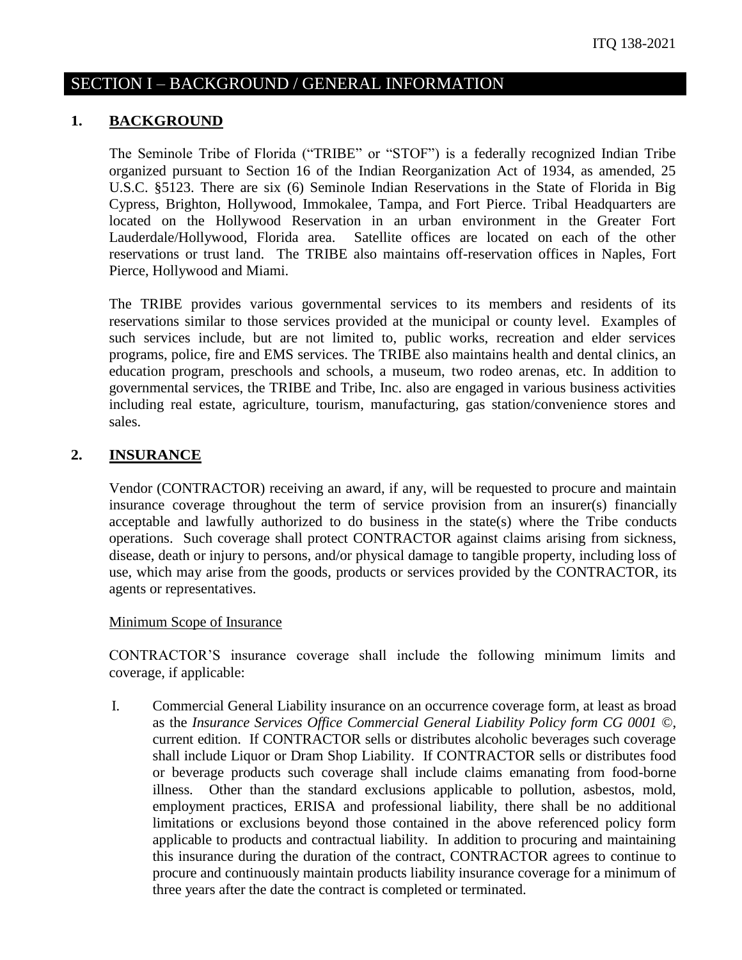# SECTION I – BACKGROUND / GENERAL INFORMATION

#### **1. BACKGROUND**

The Seminole Tribe of Florida ("TRIBE" or "STOF") is a federally recognized Indian Tribe organized pursuant to Section 16 of the Indian Reorganization Act of 1934, as amended, 25 U.S.C. §5123. There are six (6) Seminole Indian Reservations in the State of Florida in Big Cypress, Brighton, Hollywood, Immokalee, Tampa, and Fort Pierce. Tribal Headquarters are located on the Hollywood Reservation in an urban environment in the Greater Fort Lauderdale/Hollywood, Florida area. Satellite offices are located on each of the other reservations or trust land. The TRIBE also maintains off-reservation offices in Naples, Fort Pierce, Hollywood and Miami.

The TRIBE provides various governmental services to its members and residents of its reservations similar to those services provided at the municipal or county level. Examples of such services include, but are not limited to, public works, recreation and elder services programs, police, fire and EMS services. The TRIBE also maintains health and dental clinics, an education program, preschools and schools, a museum, two rodeo arenas, etc. In addition to governmental services, the TRIBE and Tribe, Inc. also are engaged in various business activities including real estate, agriculture, tourism, manufacturing, gas station/convenience stores and sales.

#### **2. INSURANCE**

Vendor (CONTRACTOR) receiving an award, if any, will be requested to procure and maintain insurance coverage throughout the term of service provision from an insurer(s) financially acceptable and lawfully authorized to do business in the state(s) where the Tribe conducts operations. Such coverage shall protect CONTRACTOR against claims arising from sickness, disease, death or injury to persons, and/or physical damage to tangible property, including loss of use, which may arise from the goods, products or services provided by the CONTRACTOR, its agents or representatives.

Minimum Scope of Insurance

CONTRACTOR'S insurance coverage shall include the following minimum limits and coverage, if applicable:

I. Commercial General Liability insurance on an occurrence coverage form, at least as broad as the *Insurance Services Office Commercial General Liability Policy form CG 0001 ©*, current edition. If CONTRACTOR sells or distributes alcoholic beverages such coverage shall include Liquor or Dram Shop Liability. If CONTRACTOR sells or distributes food or beverage products such coverage shall include claims emanating from food-borne illness. Other than the standard exclusions applicable to pollution, asbestos, mold, employment practices, ERISA and professional liability, there shall be no additional limitations or exclusions beyond those contained in the above referenced policy form applicable to products and contractual liability. In addition to procuring and maintaining this insurance during the duration of the contract, CONTRACTOR agrees to continue to procure and continuously maintain products liability insurance coverage for a minimum of three years after the date the contract is completed or terminated.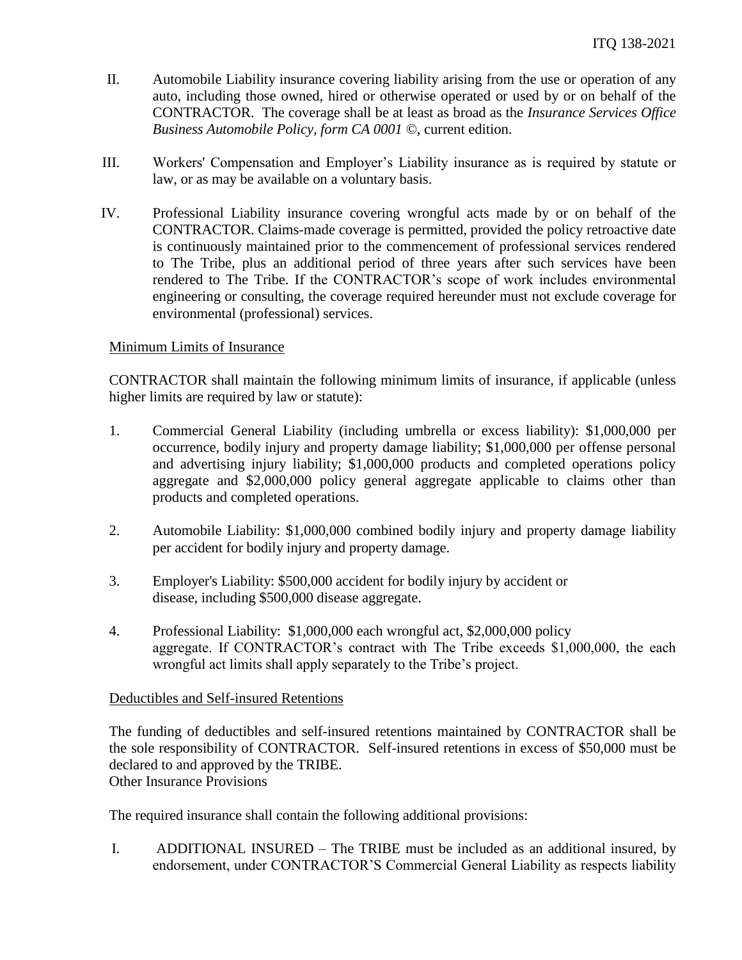- II. Automobile Liability insurance covering liability arising from the use or operation of any auto, including those owned, hired or otherwise operated or used by or on behalf of the CONTRACTOR. The coverage shall be at least as broad as the *Insurance Services Office Business Automobile Policy, form CA 0001 ©*, current edition.
- III. Workers' Compensation and Employer's Liability insurance as is required by statute or law, or as may be available on a voluntary basis.
- IV. Professional Liability insurance covering wrongful acts made by or on behalf of the CONTRACTOR. Claims-made coverage is permitted, provided the policy retroactive date is continuously maintained prior to the commencement of professional services rendered to The Tribe, plus an additional period of three years after such services have been rendered to The Tribe. If the CONTRACTOR's scope of work includes environmental engineering or consulting, the coverage required hereunder must not exclude coverage for environmental (professional) services.

#### Minimum Limits of Insurance

CONTRACTOR shall maintain the following minimum limits of insurance, if applicable (unless higher limits are required by law or statute):

- 1. Commercial General Liability (including umbrella or excess liability): \$1,000,000 per occurrence, bodily injury and property damage liability; \$1,000,000 per offense personal and advertising injury liability; \$1,000,000 products and completed operations policy aggregate and \$2,000,000 policy general aggregate applicable to claims other than products and completed operations.
- 2. Automobile Liability: \$1,000,000 combined bodily injury and property damage liability per accident for bodily injury and property damage.
- 3. Employer's Liability: \$500,000 accident for bodily injury by accident or disease, including \$500,000 disease aggregate.
- 4. Professional Liability: \$1,000,000 each wrongful act, \$2,000,000 policy aggregate. If CONTRACTOR's contract with The Tribe exceeds \$1,000,000, the each wrongful act limits shall apply separately to the Tribe's project.

#### Deductibles and Self-insured Retentions

The funding of deductibles and self-insured retentions maintained by CONTRACTOR shall be the sole responsibility of CONTRACTOR. Self-insured retentions in excess of \$50,000 must be declared to and approved by the TRIBE. Other Insurance Provisions

The required insurance shall contain the following additional provisions:

I. ADDITIONAL INSURED – The TRIBE must be included as an additional insured, by endorsement, under CONTRACTOR'S Commercial General Liability as respects liability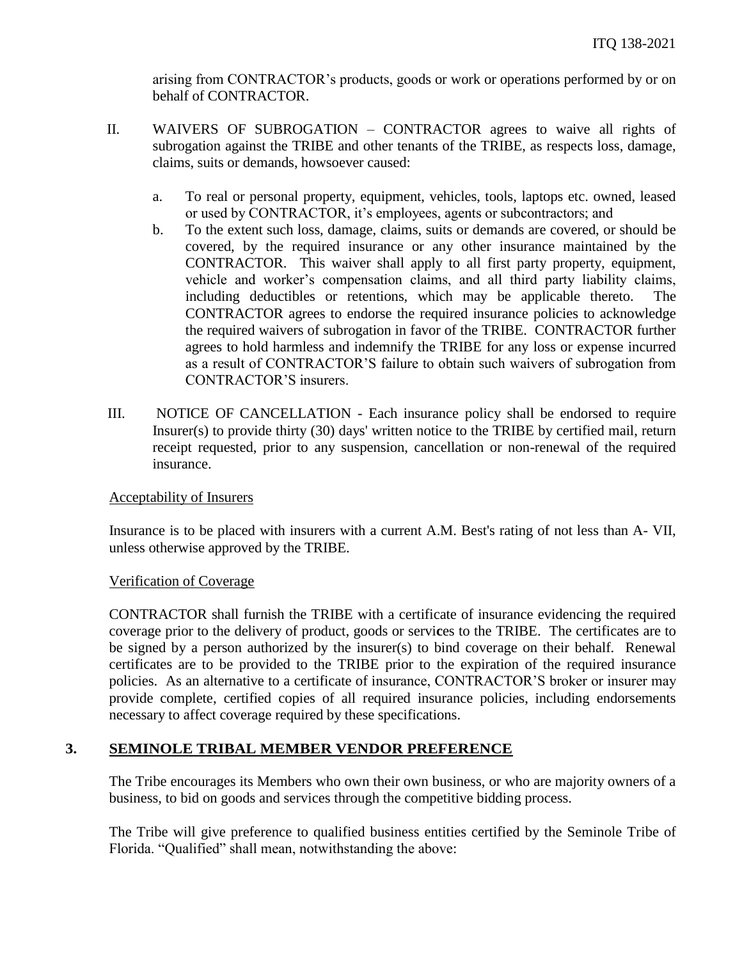arising from CONTRACTOR's products, goods or work or operations performed by or on behalf of CONTRACTOR.

- II. WAIVERS OF SUBROGATION CONTRACTOR agrees to waive all rights of subrogation against the TRIBE and other tenants of the TRIBE, as respects loss, damage, claims, suits or demands, howsoever caused:
	- a. To real or personal property, equipment, vehicles, tools, laptops etc. owned, leased or used by CONTRACTOR, it's employees, agents or subcontractors; and
	- b. To the extent such loss, damage, claims, suits or demands are covered, or should be covered, by the required insurance or any other insurance maintained by the CONTRACTOR. This waiver shall apply to all first party property, equipment, vehicle and worker's compensation claims, and all third party liability claims, including deductibles or retentions, which may be applicable thereto. The CONTRACTOR agrees to endorse the required insurance policies to acknowledge the required waivers of subrogation in favor of the TRIBE. CONTRACTOR further agrees to hold harmless and indemnify the TRIBE for any loss or expense incurred as a result of CONTRACTOR'S failure to obtain such waivers of subrogation from CONTRACTOR'S insurers.
- III. NOTICE OF CANCELLATION Each insurance policy shall be endorsed to require Insurer(s) to provide thirty (30) days' written notice to the TRIBE by certified mail, return receipt requested, prior to any suspension, cancellation or non-renewal of the required insurance.

## Acceptability of Insurers

Insurance is to be placed with insurers with a current A.M. Best's rating of not less than A- VII, unless otherwise approved by the TRIBE.

#### Verification of Coverage

CONTRACTOR shall furnish the TRIBE with a certificate of insurance evidencing the required coverage prior to the delivery of product, goods or servi**c**es to the TRIBE. The certificates are to be signed by a person authorized by the insurer(s) to bind coverage on their behalf. Renewal certificates are to be provided to the TRIBE prior to the expiration of the required insurance policies. As an alternative to a certificate of insurance, CONTRACTOR'S broker or insurer may provide complete, certified copies of all required insurance policies, including endorsements necessary to affect coverage required by these specifications.

## **3. SEMINOLE TRIBAL MEMBER VENDOR PREFERENCE**

The Tribe encourages its Members who own their own business, or who are majority owners of a business, to bid on goods and services through the competitive bidding process.

The Tribe will give preference to qualified business entities certified by the Seminole Tribe of Florida. "Qualified" shall mean, notwithstanding the above: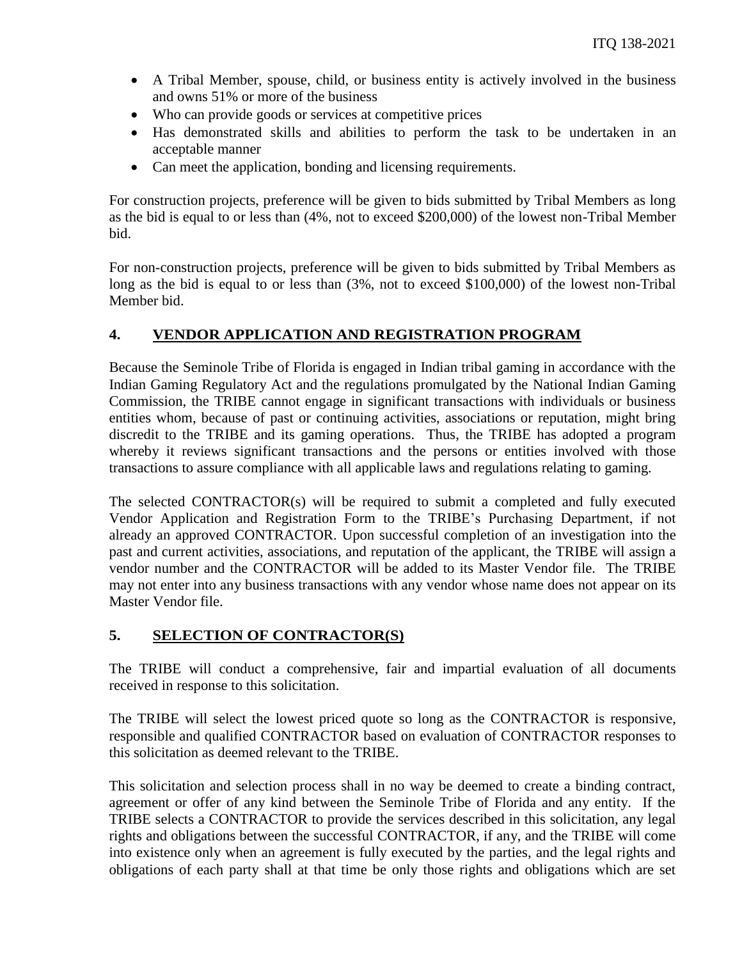- A Tribal Member, spouse, child, or business entity is actively involved in the business and owns 51% or more of the business
- Who can provide goods or services at competitive prices
- Has demonstrated skills and abilities to perform the task to be undertaken in an acceptable manner
- Can meet the application, bonding and licensing requirements.

For construction projects, preference will be given to bids submitted by Tribal Members as long as the bid is equal to or less than (4%, not to exceed \$200,000) of the lowest non-Tribal Member bid.

For non-construction projects, preference will be given to bids submitted by Tribal Members as long as the bid is equal to or less than  $(3\%$ , not to exceed \$100,000) of the lowest non-Tribal Member bid.

# **4. VENDOR APPLICATION AND REGISTRATION PROGRAM**

Because the Seminole Tribe of Florida is engaged in Indian tribal gaming in accordance with the Indian Gaming Regulatory Act and the regulations promulgated by the National Indian Gaming Commission, the TRIBE cannot engage in significant transactions with individuals or business entities whom, because of past or continuing activities, associations or reputation, might bring discredit to the TRIBE and its gaming operations. Thus, the TRIBE has adopted a program whereby it reviews significant transactions and the persons or entities involved with those transactions to assure compliance with all applicable laws and regulations relating to gaming.

The selected CONTRACTOR(s) will be required to submit a completed and fully executed Vendor Application and Registration Form to the TRIBE's Purchasing Department, if not already an approved CONTRACTOR. Upon successful completion of an investigation into the past and current activities, associations, and reputation of the applicant, the TRIBE will assign a vendor number and the CONTRACTOR will be added to its Master Vendor file. The TRIBE may not enter into any business transactions with any vendor whose name does not appear on its Master Vendor file.

## **5. SELECTION OF CONTRACTOR(S)**

The TRIBE will conduct a comprehensive, fair and impartial evaluation of all documents received in response to this solicitation.

The TRIBE will select the lowest priced quote so long as the CONTRACTOR is responsive, responsible and qualified CONTRACTOR based on evaluation of CONTRACTOR responses to this solicitation as deemed relevant to the TRIBE.

This solicitation and selection process shall in no way be deemed to create a binding contract, agreement or offer of any kind between the Seminole Tribe of Florida and any entity. If the TRIBE selects a CONTRACTOR to provide the services described in this solicitation, any legal rights and obligations between the successful CONTRACTOR, if any, and the TRIBE will come into existence only when an agreement is fully executed by the parties, and the legal rights and obligations of each party shall at that time be only those rights and obligations which are set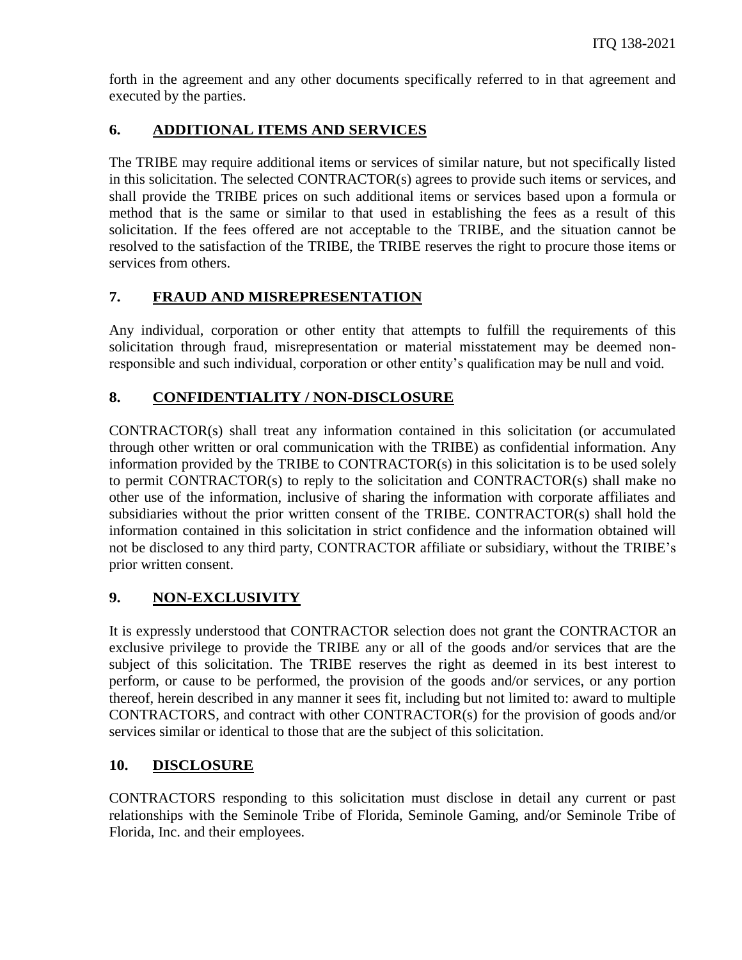forth in the agreement and any other documents specifically referred to in that agreement and executed by the parties.

# **6. ADDITIONAL ITEMS AND SERVICES**

The TRIBE may require additional items or services of similar nature, but not specifically listed in this solicitation. The selected CONTRACTOR(s) agrees to provide such items or services, and shall provide the TRIBE prices on such additional items or services based upon a formula or method that is the same or similar to that used in establishing the fees as a result of this solicitation. If the fees offered are not acceptable to the TRIBE, and the situation cannot be resolved to the satisfaction of the TRIBE, the TRIBE reserves the right to procure those items or services from others.

# **7. FRAUD AND MISREPRESENTATION**

Any individual, corporation or other entity that attempts to fulfill the requirements of this solicitation through fraud, misrepresentation or material misstatement may be deemed nonresponsible and such individual, corporation or other entity's qualification may be null and void.

# **8. CONFIDENTIALITY / NON-DISCLOSURE**

CONTRACTOR(s) shall treat any information contained in this solicitation (or accumulated through other written or oral communication with the TRIBE) as confidential information. Any information provided by the TRIBE to CONTRACTOR(s) in this solicitation is to be used solely to permit CONTRACTOR(s) to reply to the solicitation and CONTRACTOR(s) shall make no other use of the information, inclusive of sharing the information with corporate affiliates and subsidiaries without the prior written consent of the TRIBE. CONTRACTOR(s) shall hold the information contained in this solicitation in strict confidence and the information obtained will not be disclosed to any third party, CONTRACTOR affiliate or subsidiary, without the TRIBE's prior written consent.

# **9. NON-EXCLUSIVITY**

It is expressly understood that CONTRACTOR selection does not grant the CONTRACTOR an exclusive privilege to provide the TRIBE any or all of the goods and/or services that are the subject of this solicitation. The TRIBE reserves the right as deemed in its best interest to perform, or cause to be performed, the provision of the goods and/or services, or any portion thereof, herein described in any manner it sees fit, including but not limited to: award to multiple CONTRACTORS, and contract with other CONTRACTOR(s) for the provision of goods and/or services similar or identical to those that are the subject of this solicitation.

# **10. DISCLOSURE**

CONTRACTORS responding to this solicitation must disclose in detail any current or past relationships with the Seminole Tribe of Florida, Seminole Gaming, and/or Seminole Tribe of Florida, Inc. and their employees.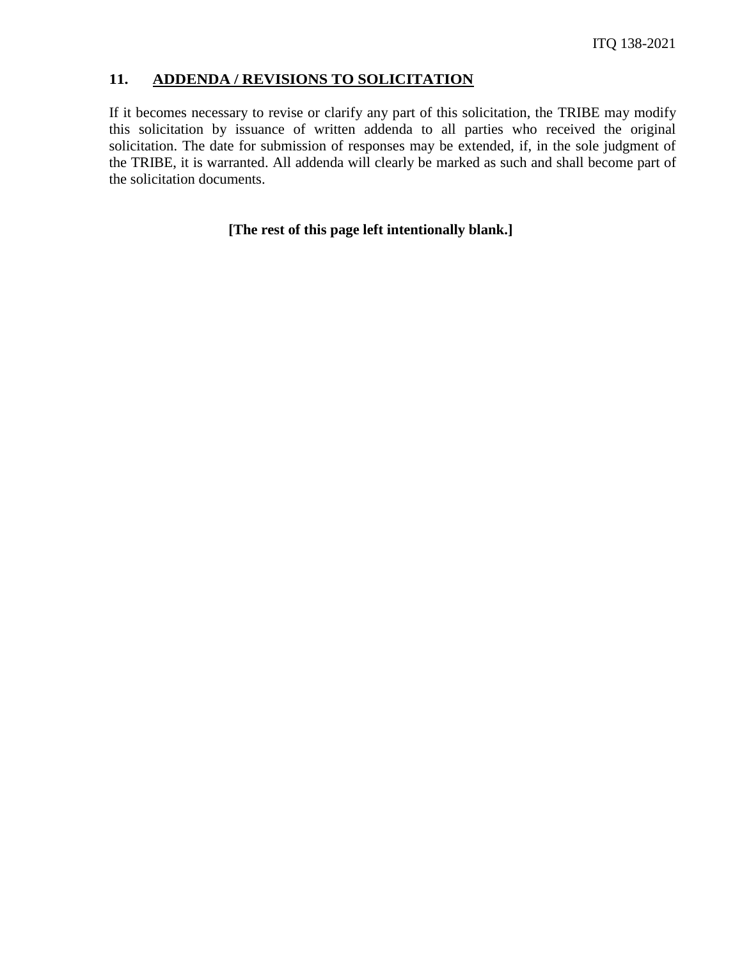#### **11. ADDENDA / REVISIONS TO SOLICITATION**

If it becomes necessary to revise or clarify any part of this solicitation, the TRIBE may modify this solicitation by issuance of written addenda to all parties who received the original solicitation. The date for submission of responses may be extended, if, in the sole judgment of the TRIBE, it is warranted. All addenda will clearly be marked as such and shall become part of the solicitation documents.

## **[The rest of this page left intentionally blank.]**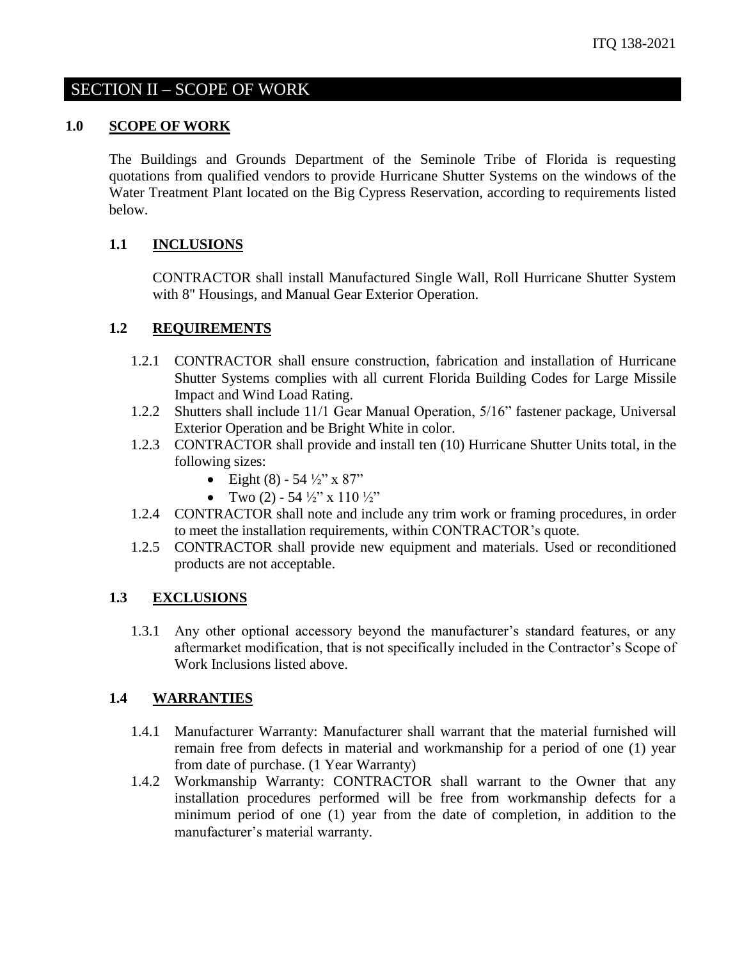# SECTION II – SCOPE OF WORK

#### **1.0 SCOPE OF WORK**

The Buildings and Grounds Department of the Seminole Tribe of Florida is requesting quotations from qualified vendors to provide Hurricane Shutter Systems on the windows of the Water Treatment Plant located on the Big Cypress Reservation, according to requirements listed below.

#### **1.1 INCLUSIONS**

CONTRACTOR shall install Manufactured Single Wall, Roll Hurricane Shutter System with 8" Housings, and Manual Gear Exterior Operation.

#### **1.2 REQUIREMENTS**

- 1.2.1 CONTRACTOR shall ensure construction, fabrication and installation of Hurricane Shutter Systems complies with all current Florida Building Codes for Large Missile Impact and Wind Load Rating.
- 1.2.2 Shutters shall include 11/1 Gear Manual Operation, 5/16" fastener package, Universal Exterior Operation and be Bright White in color.
- 1.2.3 CONTRACTOR shall provide and install ten (10) Hurricane Shutter Units total, in the following sizes:
	- Eight (8) 54  $\frac{1}{2}$ " x 87"
	- Two  $(2)$  54  $\frac{1}{2}$ " x 110  $\frac{1}{2}$ "
- 1.2.4 CONTRACTOR shall note and include any trim work or framing procedures, in order to meet the installation requirements, within CONTRACTOR's quote.
- 1.2.5 CONTRACTOR shall provide new equipment and materials. Used or reconditioned products are not acceptable.

#### **1.3 EXCLUSIONS**

1.3.1 Any other optional accessory beyond the manufacturer's standard features, or any aftermarket modification, that is not specifically included in the Contractor's Scope of Work Inclusions listed above.

#### **1.4 WARRANTIES**

- 1.4.1 Manufacturer Warranty: Manufacturer shall warrant that the material furnished will remain free from defects in material and workmanship for a period of one (1) year from date of purchase. (1 Year Warranty)
- 1.4.2 Workmanship Warranty: CONTRACTOR shall warrant to the Owner that any installation procedures performed will be free from workmanship defects for a minimum period of one (1) year from the date of completion, in addition to the manufacturer's material warranty.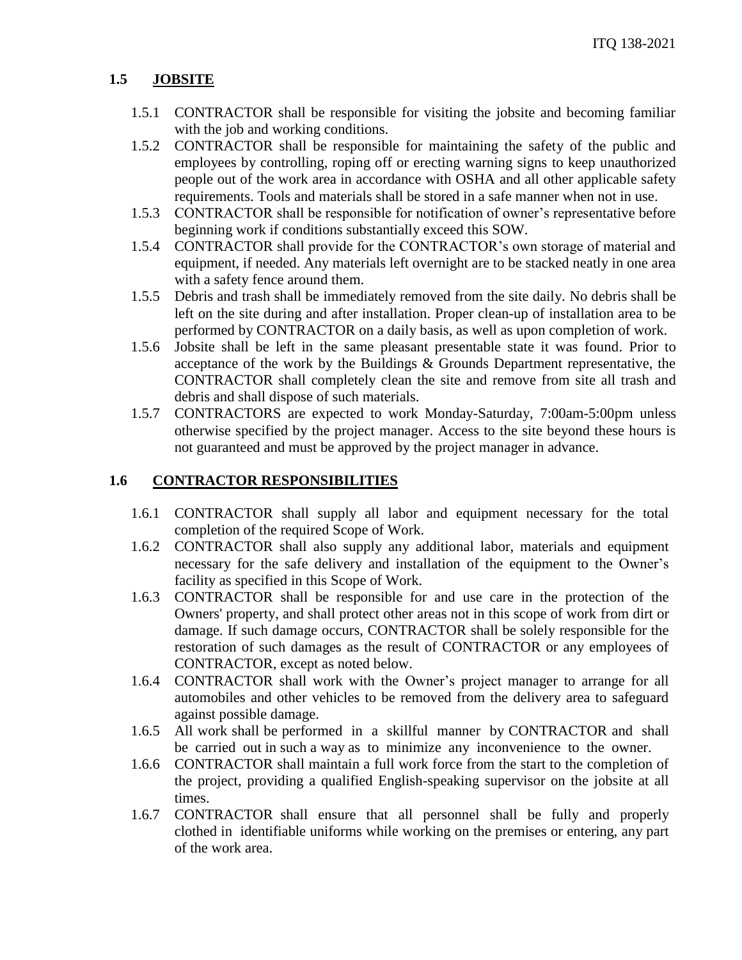# **1.5 JOBSITE**

- 1.5.1 CONTRACTOR shall be responsible for visiting the jobsite and becoming familiar with the job and working conditions.
- 1.5.2 CONTRACTOR shall be responsible for maintaining the safety of the public and employees by controlling, roping off or erecting warning signs to keep unauthorized people out of the work area in accordance with OSHA and all other applicable safety requirements. Tools and materials shall be stored in a safe manner when not in use.
- 1.5.3 CONTRACTOR shall be responsible for notification of owner's representative before beginning work if conditions substantially exceed this SOW.
- 1.5.4 CONTRACTOR shall provide for the CONTRACTOR's own storage of material and equipment, if needed. Any materials left overnight are to be stacked neatly in one area with a safety fence around them.
- 1.5.5 Debris and trash shall be immediately removed from the site daily. No debris shall be left on the site during and after installation. Proper clean-up of installation area to be performed by CONTRACTOR on a daily basis, as well as upon completion of work.
- 1.5.6 Jobsite shall be left in the same pleasant presentable state it was found. Prior to acceptance of the work by the Buildings & Grounds Department representative, the CONTRACTOR shall completely clean the site and remove from site all trash and debris and shall dispose of such materials.
- 1.5.7 CONTRACTORS are expected to work Monday-Saturday, 7:00am-5:00pm unless otherwise specified by the project manager. Access to the site beyond these hours is not guaranteed and must be approved by the project manager in advance.

## **1.6 CONTRACTOR RESPONSIBILITIES**

- 1.6.1 CONTRACTOR shall supply all labor and equipment necessary for the total completion of the required Scope of Work.
- 1.6.2 CONTRACTOR shall also supply any additional labor, materials and equipment necessary for the safe delivery and installation of the equipment to the Owner's facility as specified in this Scope of Work.
- 1.6.3 CONTRACTOR shall be responsible for and use care in the protection of the Owners' property, and shall protect other areas not in this scope of work from dirt or damage. If such damage occurs, CONTRACTOR shall be solely responsible for the restoration of such damages as the result of CONTRACTOR or any employees of CONTRACTOR, except as noted below.
- 1.6.4 CONTRACTOR shall work with the Owner's project manager to arrange for all automobiles and other vehicles to be removed from the delivery area to safeguard against possible damage.
- 1.6.5 All work shall be performed in a skillful manner by CONTRACTOR and shall be carried out in such a way as to minimize any inconvenience to the owner.
- 1.6.6 CONTRACTOR shall maintain a full work force from the start to the completion of the project, providing a qualified English-speaking supervisor on the jobsite at all times.
- 1.6.7 CONTRACTOR shall ensure that all personnel shall be fully and properly clothed in identifiable uniforms while working on the premises or entering, any part of the work area.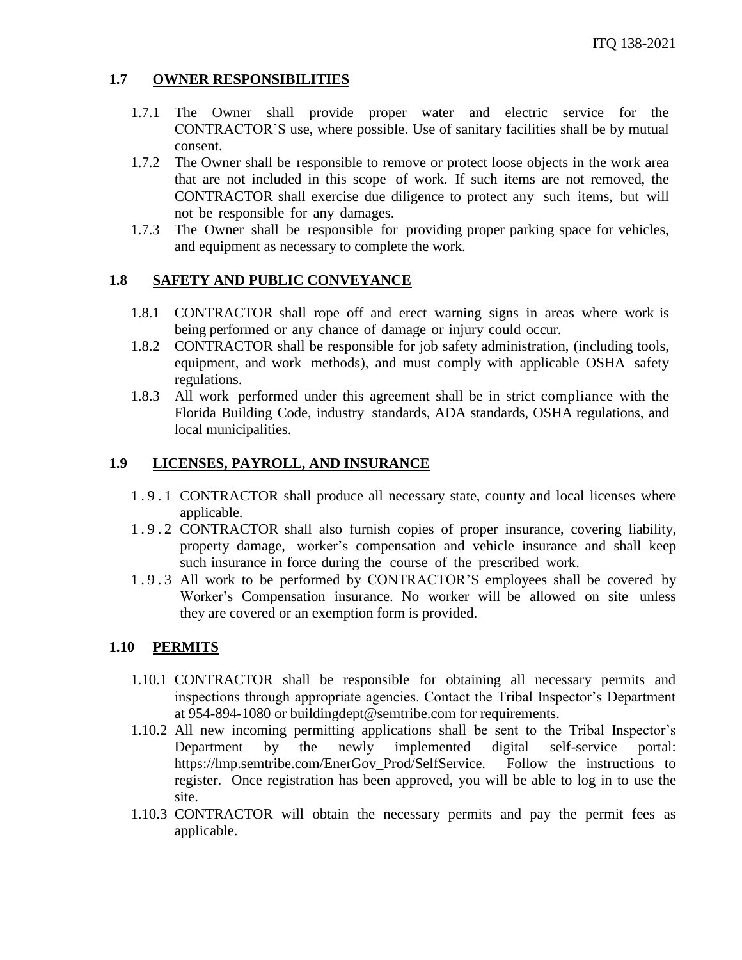## **1.7 OWNER RESPONSIBILITIES**

- 1.7.1 The Owner shall provide proper water and electric service for the CONTRACTOR'S use, where possible. Use of sanitary facilities shall be by mutual consent.
- 1.7.2 The Owner shall be responsible to remove or protect loose objects in the work area that are not included in this scope of work. If such items are not removed, the CONTRACTOR shall exercise due diligence to protect any such items, but will not be responsible for any damages.
- 1.7.3 The Owner shall be responsible for providing proper parking space for vehicles, and equipment as necessary to complete the work.

#### **1.8 SAFETY AND PUBLIC CONVEYANCE**

- 1.8.1 CONTRACTOR shall rope off and erect warning signs in areas where work is being performed or any chance of damage or injury could occur.
- 1.8.2 CONTRACTOR shall be responsible for job safety administration, (including tools, equipment, and work methods), and must comply with applicable OSHA safety regulations.
- 1.8.3 All work performed under this agreement shall be in strict compliance with the Florida Building Code, industry standards, ADA standards, OSHA regulations, and local municipalities.

#### **1.9 LICENSES, PAYROLL, AND INSURANCE**

- 1 . 9 . 1 CONTRACTOR shall produce all necessary state, county and local licenses where applicable.
- 1 . 9 . 2 CONTRACTOR shall also furnish copies of proper insurance, covering liability, property damage, worker's compensation and vehicle insurance and shall keep such insurance in force during the course of the prescribed work.
- 1 . 9 . 3 All work to be performed by CONTRACTOR'S employees shall be covered by Worker's Compensation insurance. No worker will be allowed on site unless they are covered or an exemption form is provided.

#### **1.10 PERMITS**

- 1.10.1 CONTRACTOR shall be responsible for obtaining all necessary permits and inspections through appropriate agencies. Contact the Tribal Inspector's Department at 954-894-1080 or buildingdept@semtribe.com for requirements.
- 1.10.2 All new incoming permitting applications shall be sent to the Tribal Inspector's Department by the newly implemented digital self-service portal: https://lmp.semtribe.com/EnerGov\_Prod/SelfService. Follow the instructions to register. Once registration has been approved, you will be able to log in to use the site.
- 1.10.3 CONTRACTOR will obtain the necessary permits and pay the permit fees as applicable.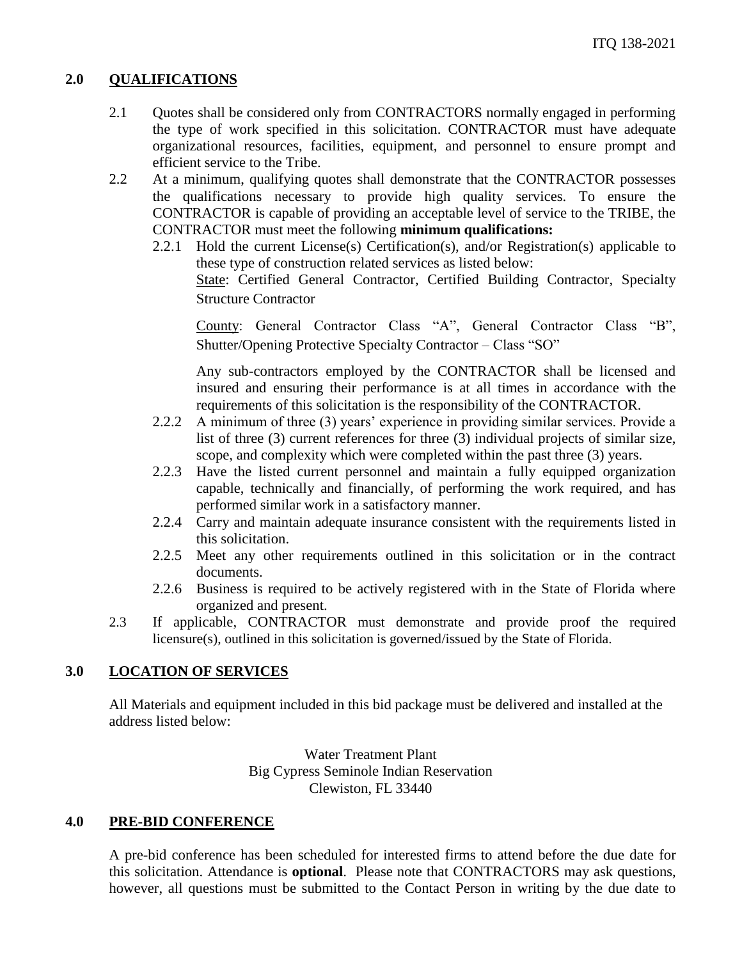#### **2.0 QUALIFICATIONS**

- 2.1 Quotes shall be considered only from CONTRACTORS normally engaged in performing the type of work specified in this solicitation. CONTRACTOR must have adequate organizational resources, facilities, equipment, and personnel to ensure prompt and efficient service to the Tribe.
- 2.2 At a minimum, qualifying quotes shall demonstrate that the CONTRACTOR possesses the qualifications necessary to provide high quality services. To ensure the CONTRACTOR is capable of providing an acceptable level of service to the TRIBE, the CONTRACTOR must meet the following **minimum qualifications:**
	- 2.2.1 Hold the current License(s) Certification(s), and/or Registration(s) applicable to these type of construction related services as listed below: State: Certified General Contractor, Certified Building Contractor, Specialty Structure Contractor

County: General Contractor Class "A", General Contractor Class "B", Shutter/Opening Protective Specialty Contractor – Class "SO"

Any sub-contractors employed by the CONTRACTOR shall be licensed and insured and ensuring their performance is at all times in accordance with the requirements of this solicitation is the responsibility of the CONTRACTOR.

- 2.2.2 A minimum of three (3) years' experience in providing similar services. Provide a list of three (3) current references for three (3) individual projects of similar size, scope, and complexity which were completed within the past three (3) years.
- 2.2.3 Have the listed current personnel and maintain a fully equipped organization capable, technically and financially, of performing the work required, and has performed similar work in a satisfactory manner.
- 2.2.4 Carry and maintain adequate insurance consistent with the requirements listed in this solicitation.
- 2.2.5 Meet any other requirements outlined in this solicitation or in the contract documents.
- 2.2.6 Business is required to be actively registered with in the State of Florida where organized and present.
- 2.3 If applicable, CONTRACTOR must demonstrate and provide proof the required licensure(s), outlined in this solicitation is governed/issued by the State of Florida.

## **3.0 LOCATION OF SERVICES**

All Materials and equipment included in this bid package must be delivered and installed at the address listed below:

> Water Treatment Plant Big Cypress Seminole Indian Reservation Clewiston, FL 33440

#### **4.0 PRE-BID CONFERENCE**

A pre-bid conference has been scheduled for interested firms to attend before the due date for this solicitation. Attendance is **optional**. Please note that CONTRACTORS may ask questions, however, all questions must be submitted to the Contact Person in writing by the due date to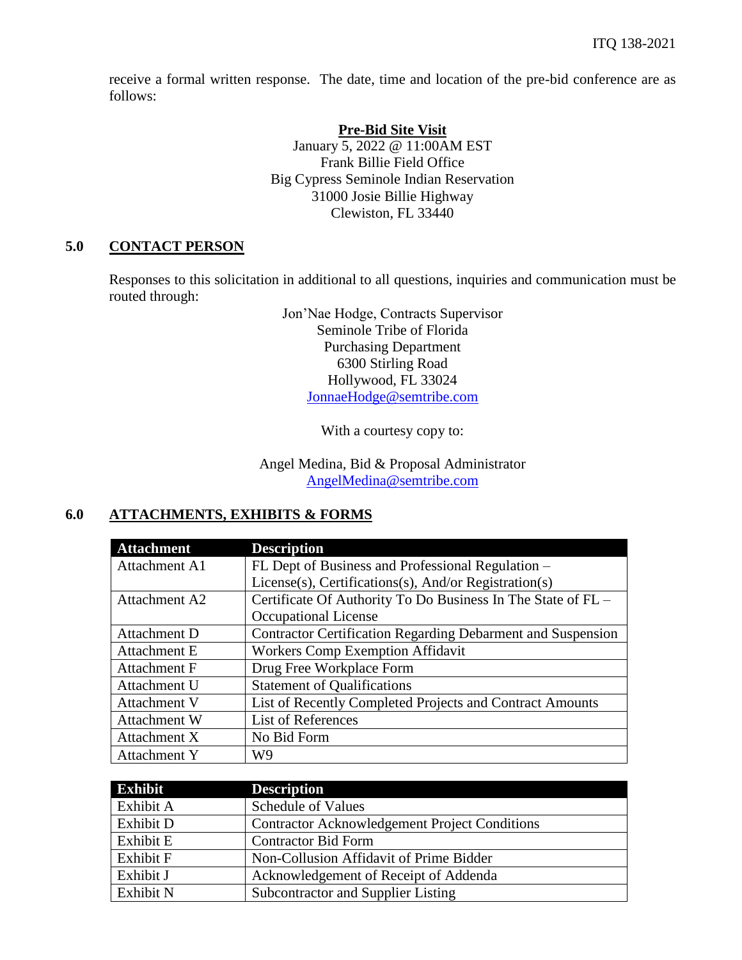receive a formal written response. The date, time and location of the pre-bid conference are as follows:

#### **Pre-Bid Site Visit**

January 5, 2022 @ 11:00AM EST Frank Billie Field Office Big Cypress Seminole Indian Reservation 31000 Josie Billie Highway Clewiston, FL 33440

#### **5.0 CONTACT PERSON**

Responses to this solicitation in additional to all questions, inquiries and communication must be routed through:

> Jon'Nae Hodge, Contracts Supervisor Seminole Tribe of Florida Purchasing Department 6300 Stirling Road Hollywood, FL 33024 [JonnaeHodge@semtribe.com](mailto:JonnaeHodge@semtribe.com)

> > With a courtesy copy to:

Angel Medina, Bid & Proposal Administrator [AngelMedina@semtribe.com](mailto:AngelMedina@semtribe.com)

## **6.0 ATTACHMENTS, EXHIBITS & FORMS**

| <b>Attachment</b>   | <b>Description</b>                                           |
|---------------------|--------------------------------------------------------------|
| Attachment A1       | FL Dept of Business and Professional Regulation –            |
|                     | License(s), Certifications(s), And/or Registration(s)        |
| Attachment A2       | Certificate Of Authority To Do Business In The State of FL - |
|                     | Occupational License                                         |
| Attachment D        | Contractor Certification Regarding Debarment and Suspension  |
| Attachment E        | <b>Workers Comp Exemption Affidavit</b>                      |
| Attachment F        | Drug Free Workplace Form                                     |
| Attachment U        | <b>Statement of Qualifications</b>                           |
| <b>Attachment V</b> | List of Recently Completed Projects and Contract Amounts     |
| <b>Attachment W</b> | List of References                                           |
| Attachment X        | No Bid Form                                                  |
| Attachment Y        | W9                                                           |

| <b>Exhibit</b> | <b>Description</b>                                   |
|----------------|------------------------------------------------------|
| Exhibit A      | <b>Schedule of Values</b>                            |
| Exhibit D      | <b>Contractor Acknowledgement Project Conditions</b> |
| Exhibit E      | <b>Contractor Bid Form</b>                           |
| Exhibit F      | Non-Collusion Affidavit of Prime Bidder              |
| Exhibit J      | Acknowledgement of Receipt of Addenda                |
| Exhibit N      | Subcontractor and Supplier Listing                   |